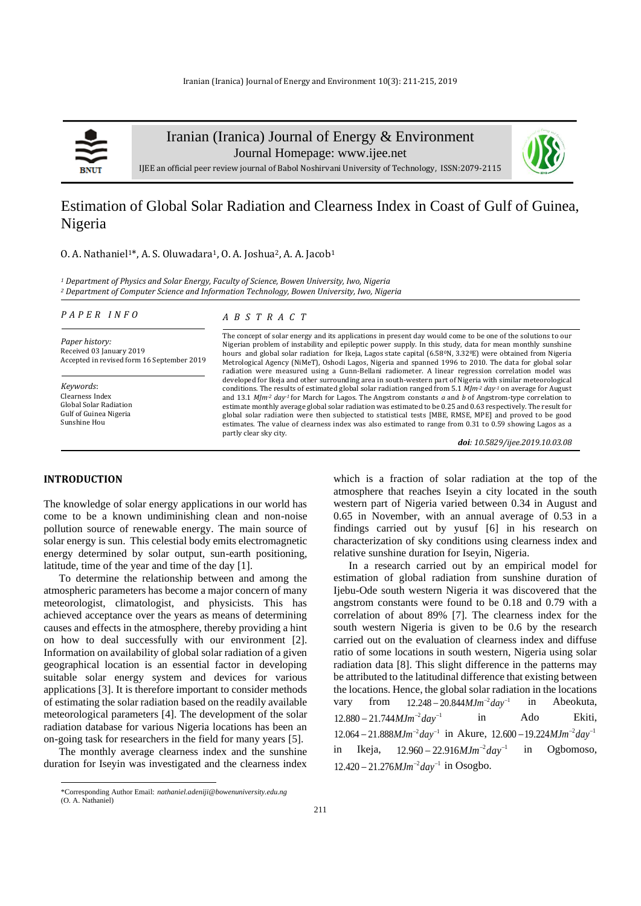

Iranian (Iranica) Journal of Energy & Environment

Journal Homepage: [www.ijee.net](http://www.ijee.net/)



IJEE an official peer review journal of Babol Noshirvani University of Technology, ISSN:2079-2115

# Estimation of Global Solar Radiation and Clearness Index in Coast of Gulf of Guinea, Nigeria

## 0. A. Nathaniel<sup>1\*</sup>, A. S. Oluwadara<sup>1</sup>, O. A. Joshua<sup>2</sup>, A. A. Jacob<sup>1</sup>

*<sup>1</sup> Department of Physics and Solar Energy, Faculty of Science, Bowen University, Iwo, Nigeria <sup>2</sup> Department of Computer Science and Information Technology, Bowen University, Iwo, Nigeria*

#### *P A P E R I N F O*

*Paper history:* Received 03 January 2019 Accepted in revised form 16 September 2019

*Keywords*: Clearness Index Global Solar Radiation Gulf of Guinea Nigeria Sunshine Hou

#### *A B S T R A C T*

The concept of solar energy and its applications in present day would come to be one of the solutions to our Nigerian problem of instability and epileptic power supply. In this study, data for mean monthly sunshine hours and global solar radiation for Ikeja, Lagos state capital (6.580N, 3.320E) were obtained from Nigeria Metrological Agency (NiMeT), Oshodi Lagos, Nigeria and spanned 1996 to 2010. The data for global solar radiation were measured using a Gunn-Bellani radiometer. A linear regression correlation model was developed for Ikeja and other surrounding area in south-western part of Nigeria with similar meteorological conditions. The results of estimated global solar radiation ranged from 5.1 *MJm-2 day-1* on average for August and 13.1 *MJm-2 day-1* for March for Lagos. The Angstrom constants *a* and *b* of Angstrom-type correlation to estimate monthly average global solar radiation was estimated to be 0.25 and 0.63 respectively. The result for global solar radiation were then subjected to statistical tests [MBE, RMSE, MPE] and proved to be good estimates. The value of clearness index was also estimated to range from 0.31 to 0.59 showing Lagos as a partly clear sky city.

*doi: 10.5829/ijee.2019.10.03.08*

## **INTRODUCTION**

The knowledge of solar energy applications in our world has come to be a known undiminishing clean and non-noise pollution source of renewable energy. The main source of solar energy is sun. This celestial body emits electromagnetic energy determined by solar output, sun-earth positioning, latitude, time of the year and time of the day [1].

To determine the relationship between and among the atmospheric parameters has become a major concern of many meteorologist, climatologist, and physicists. This has achieved acceptance over the years as means of determining causes and effects in the atmosphere, thereby providing a hint on how to deal successfully with our environment [2]. Information on availability of global solar radiation of a given geographical location is an essential factor in developing suitable solar energy system and devices for various applications [3]. It is therefore important to consider methods of estimating the solar radiation based on the readily available meteorological parameters [4]. The development of the solar radiation database for various Nigeria locations has been an on-going task for researchers in the field for many years [5].

The monthly average clearness index and the sunshine duration for Iseyin was investigated and the clearness index which is a fraction of solar radiation at the top of the atmosphere that reaches Iseyin a city located in the south western part of Nigeria varied between 0.34 in August and 0.65 in November, with an annual average of 0.53 in a findings carried out by yusuf [6] in his research on characterization of sky conditions using clearness index and relative sunshine duration for Iseyin, Nigeria.

In a research carried out by an empirical model for estimation of global radiation from sunshine duration of Ijebu-Ode south western Nigeria it was discovered that the angstrom constants were found to be 0.18 and 0.79 with a correlation of about 89% [7]. The clearness index for the south western Nigeria is given to be 0.6 by the research carried out on the evaluation of clearness index and diffuse ratio of some locations in south western, Nigeria using solar radiation data [8]. This slight difference in the patterns may be attributed to the latitudinal difference that existing between the locations. Hence, the global solar radiation in the locations vary from  $12.248 - 20.844 MJm^{-2}day^{-1}$ in Abeokuta,  $12.880 - 21.744 M Jm<sup>-2</sup> day<sup>-1</sup>$ in Ado Ekiti,  $12.064 - 21.888 MJm<sup>-2</sup>day<sup>-1</sup>$  in Akure,  $12.600 - 19.224 MJm<sup>-2</sup>day<sup>-1</sup>$ in Ikeja,  $12.960 - 22.916 MJm<sup>-2</sup>day<sup>-1</sup>$ in Ogbomoso, 12.420 − 21.276*MJm<sup>-2</sup>day*<sup>-1</sup> in Osogbo.

<sup>\*</sup>Corresponding Author Email: *[nathaniel.adeniji@bowenuniversity.edu.ng](mailto:nathaniel.adeniji@bowenuniversity.edu.ng)* (O. A. Nathaniel)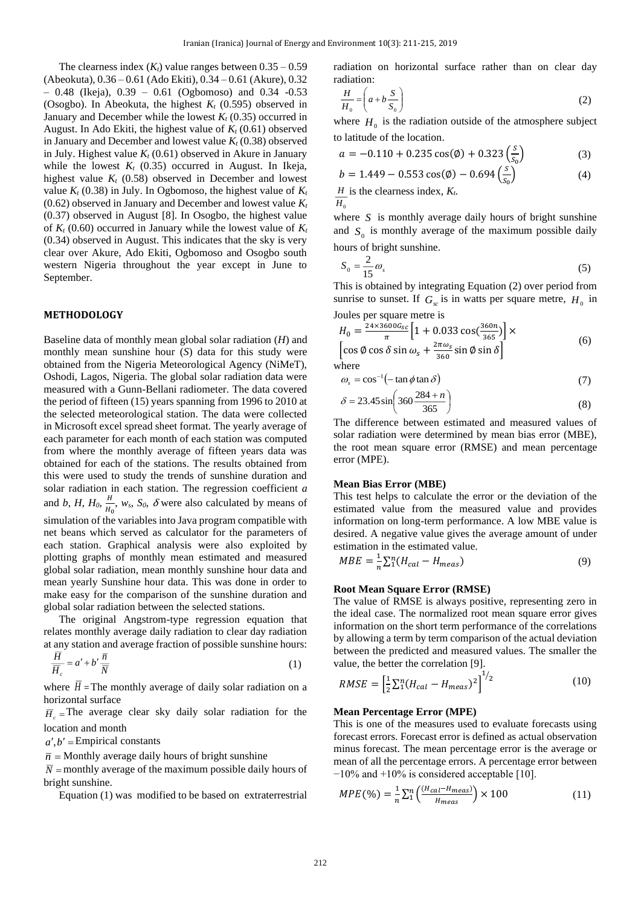The clearness index  $(K_t)$  value ranges between  $0.35 - 0.59$ (Abeokuta), 0.36 – 0.61 (Ado Ekiti), 0.34 – 0.61 (Akure), 0.32  $-$  0.48 (Ikeja), 0.39  $-$  0.61 (Ogbomoso) and 0.34  $-0.53$ (Osogbo). In Abeokuta, the highest *K<sup>t</sup>* (0.595) observed in January and December while the lowest  $K_t$  (0.35) occurred in August. In Ado Ekiti, the highest value of *K<sup>t</sup>* (0.61) observed in January and December and lowest value  $K_t$  (0.38) observed in July. Highest value  $K_t$  (0.61) observed in Akure in January while the lowest  $K_t$  (0.35) occurred in August. In Ikeja, highest value  $K_t$  (0.58) observed in December and lowest value  $K_t$  (0.38) in July. In Ogbomoso, the highest value of  $K_t$ (0.62) observed in January and December and lowest value *K<sup>t</sup>* (0.37) observed in August [8]. In Osogbo, the highest value of  $K_t$  (0.60) occurred in January while the lowest value of  $K_t$ (0.34) observed in August. This indicates that the sky is very clear over Akure, Ado Ekiti, Ogbomoso and Osogbo south western Nigeria throughout the year except in June to September.

## **METHODOLOGY**

Baseline data of monthly mean global solar radiation (*H*) and monthly mean sunshine hour (*S*) data for this study were obtained from the Nigeria Meteorological Agency (NiMeT), Oshodi, Lagos, Nigeria. The global solar radiation data were measured with a Gunn-Bellani radiometer. The data covered the period of fifteen (15) years spanning from 1996 to 2010 at the selected meteorological station. The data were collected in Microsoft excel spread sheet format. The yearly average of each parameter for each month of each station was computed from where the monthly average of fifteen years data was obtained for each of the stations. The results obtained from this were used to study the trends of sunshine duration and solar radiation in each station. The regression coefficient *a* and *b*, *H*, *H*<sub>0</sub>,  $\frac{H}{U}$  $\frac{n}{H_0}$ ,  $w_s$ ,  $S_0$ ,  $\delta$  were also calculated by means of simulation of the variables into Java program compatible with net beans which served as calculator for the parameters of each station. Graphical analysis were also exploited by plotting graphs of monthly mean estimated and measured global solar radiation, mean monthly sunshine hour data and mean yearly Sunshine hour data. This was done in order to make easy for the comparison of the sunshine duration and global solar radiation between the selected stations.

The original Angstrom-type regression equation that relates monthly average daily radiation to clear day radiation at any station and average fraction of possible sunshine hours:

$$
\frac{H}{\overline{H}_c} = a' + b'\frac{\overline{n}}{\overline{N}}
$$
\n(1)

where  $H =$ The monthly average of daily solar radiation on a horizontal surface

 $\overline{H}_c$  = The average clear sky daily solar radiation for the location and month

 $a', b'$  = Empirical constants

 $\bar{n}$  = Monthly average daily hours of bright sunshine

 $\overline{N}$  = monthly average of the maximum possible daily hours of bright sunshine.

Equation (1) was modified to be based on extraterrestrial

radiation on horizontal surface rather than on clear day radiation:

$$
\frac{H}{H_0} = \left(a + b\frac{S}{S_0}\right) \tag{2}
$$

where  $H_0$  is the radiation outside of the atmosphere subject to latitude of the location.

$$
a = -0.110 + 0.235 \cos(\phi) + 0.323 \left(\frac{s}{s_0}\right) \tag{3}
$$

$$
b = 1.449 - 0.553 \cos(\phi) - 0.694 \left(\frac{s}{s_0}\right) \tag{4}
$$

 $H<sub>0</sub>$ *H* is the clearness index, *Kt.*

where  $S$  is monthly average daily hours of bright sunshine and  $S_0$  is monthly average of the maximum possible daily hours of bright sunshine.

$$
S_0 = \frac{2}{15}\omega_s \tag{5}
$$

This is obtained by integrating Equation (2) over period from sunrise to sunset. If  $G_{sc}$  is in watts per square metre,  $H_0$  in Joules per square metre is

$$
H_0 = \frac{24 \times 3600 G_{SC}}{\pi} \left[ 1 + 0.033 \cos\left(\frac{360n}{365}\right) \right] \times \left[ \cos \phi \cos \delta \sin \omega_s + \frac{2\pi \omega_s}{360} \sin \phi \sin \delta \right]
$$
(6)

where

$$
\omega_s = \cos^{-1}(-\tan\phi\tan\delta) \tag{7}
$$

$$
\delta = 23.45 \sin \left( 360 \frac{284 + n}{365} \right) \tag{8}
$$

The difference between estimated and measured values of solar radiation were determined by mean bias error (MBE), the root mean square error (RMSE) and mean percentage error (MPE).

#### **Mean Bias Error (MBE)**

This test helps to calculate the error or the deviation of the estimated value from the measured value and provides information on long-term performance. A low MBE value is desired. A negative value gives the average amount of under estimation in the estimated value.

$$
MBE = \frac{1}{n} \sum_{1}^{n} (H_{cal} - H_{meas})
$$
\n(9)

## **Root Mean Square Error (RMSE)**

The value of RMSE is always positive, representing zero in the ideal case. The normalized root mean square error gives information on the short term performance of the correlations by allowing a term by term comparison of the actual deviation between the predicted and measured values. The smaller the value, the better the correlation [9].

$$
RMSE = \left[\frac{1}{2}\sum_{1}^{n}(H_{cal} - H_{meas})^2\right]^{1/2} \tag{10}
$$

#### **Mean Percentage Error (MPE)**

This is one of the measures used to evaluate forecasts using forecast errors. Forecast error is defined as actual observation minus forecast. The mean percentage error is the average or mean of all the percentage errors. A percentage error between −10% and +10% is considered acceptable [10].

$$
MPE(\%) = \frac{1}{n} \sum_{1}^{n} \left( \frac{(H_{cal} - H_{meas})}{H_{meas}} \right) \times 100 \tag{11}
$$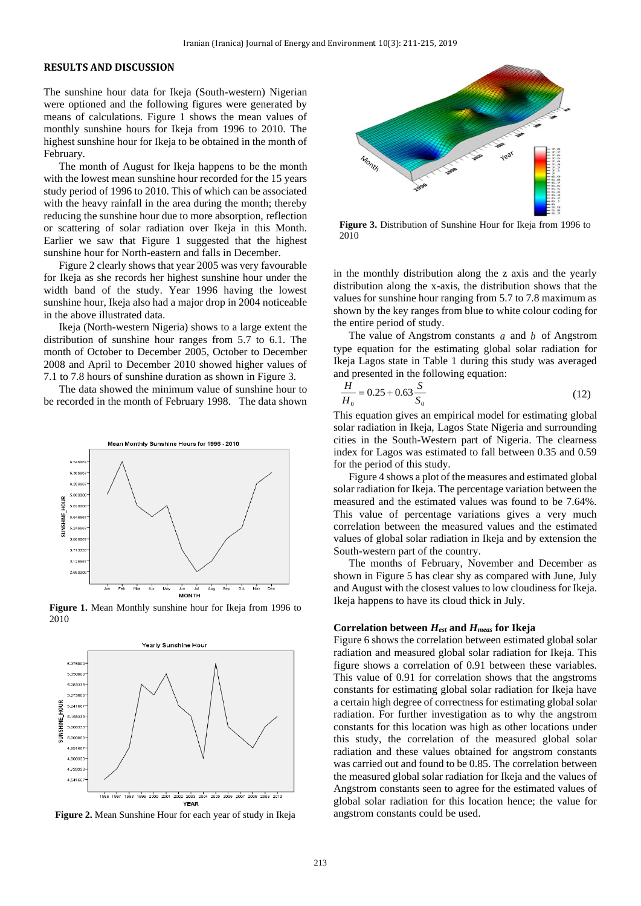#### **RESULTS AND DISCUSSION**

The sunshine hour data for Ikeja (South-western) Nigerian were optioned and the following figures were generated by means of calculations. Figure 1 shows the mean values of monthly sunshine hours for Ikeja from 1996 to 2010. The highest sunshine hour for Ikeja to be obtained in the month of February.

The month of August for Ikeja happens to be the month with the lowest mean sunshine hour recorded for the 15 years study period of 1996 to 2010. This of which can be associated with the heavy rainfall in the area during the month; thereby reducing the sunshine hour due to more absorption, reflection or scattering of solar radiation over Ikeja in this Month. Earlier we saw that Figure 1 suggested that the highest sunshine hour for North-eastern and falls in December.

Figure 2 clearly shows that year 2005 was very favourable for Ikeja as she records her highest sunshine hour under the width band of the study. Year 1996 having the lowest sunshine hour, Ikeja also had a major drop in 2004 noticeable in the above illustrated data.

Ikeja (North-western Nigeria) shows to a large extent the distribution of sunshine hour ranges from 5.7 to 6.1. The month of October to December 2005, October to December 2008 and April to December 2010 showed higher values of 7.1 to 7.8 hours of sunshine duration as shown in Figure 3.

The data showed the minimum value of sunshine hour to be recorded in the month of February 1998. The data shown



**Figure 1.** Mean Monthly sunshine hour for Ikeja from 1996 to 2010



**Figure 2.** Mean Sunshine Hour for each year of study in Ikeja



**Figure 3.** Distribution of Sunshine Hour for Ikeja from 1996 to 2010

in the monthly distribution along the z axis and the yearly distribution along the x-axis, the distribution shows that the values for sunshine hour ranging from 5.7 to 7.8 maximum as shown by the key ranges from blue to white colour coding for the entire period of study.

The value of Angstrom constants  $a$  and  $b$  of Angstrom type equation for the estimating global solar radiation for Ikeja Lagos state in Table 1 during this study was averaged and presented in the following equation:

$$
\frac{H}{H_0} = 0.25 + 0.63 \frac{S}{S_0}
$$
 (12)

This equation gives an empirical model for estimating global solar radiation in Ikeja, Lagos State Nigeria and surrounding cities in the South-Western part of Nigeria. The clearness index for Lagos was estimated to fall between 0.35 and 0.59 for the period of this study.

Figure 4 shows a plot of the measures and estimated global solar radiation for Ikeja. The percentage variation between the measured and the estimated values was found to be 7.64%. This value of percentage variations gives a very much correlation between the measured values and the estimated values of global solar radiation in Ikeja and by extension the South-western part of the country.

The months of February, November and December as shown in Figure 5 has clear shy as compared with June, July and August with the closest values to low cloudiness for Ikeja. Ikeja happens to have its cloud thick in July.

#### **Correlation between** *Hest* **and** *Hmeas* **for Ikeja**

Figure 6 shows the correlation between estimated global solar radiation and measured global solar radiation for Ikeja. This figure shows a correlation of 0.91 between these variables. This value of 0.91 for correlation shows that the angstroms constants for estimating global solar radiation for Ikeja have a certain high degree of correctness for estimating global solar radiation. For further investigation as to why the angstrom constants for this location was high as other locations under this study, the correlation of the measured global solar radiation and these values obtained for angstrom constants was carried out and found to be 0.85. The correlation between the measured global solar radiation for Ikeja and the values of Angstrom constants seen to agree for the estimated values of global solar radiation for this location hence; the value for angstrom constants could be used.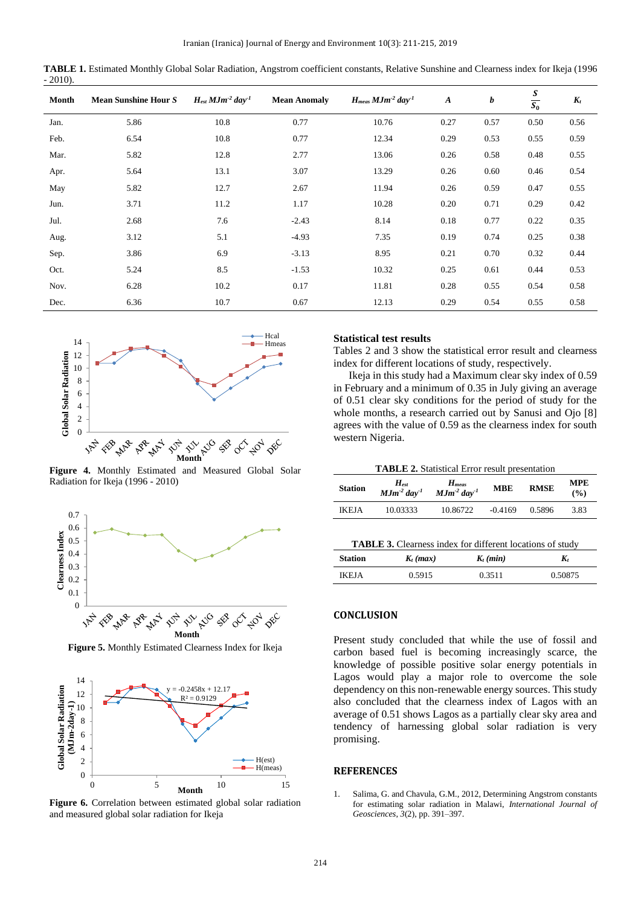| TABLE 1. Estimated Monthly Global Solar Radiation, Angstrom coefficient constants, Relative Sunshine and Clearness index for Ikeja (1996 |  |  |
|------------------------------------------------------------------------------------------------------------------------------------------|--|--|
| $-2010$ .                                                                                                                                |  |  |

| Month | <b>Mean Sunshine Hour S</b> | $H_{est} M J m^{-2} day^{-1}$ | <b>Mean Anomaly</b> | $H_{meas}$ $MJm-2$ day <sup>-1</sup> | $\boldsymbol{A}$ | b    | $rac{s}{s_0}$ | $K_t$ |
|-------|-----------------------------|-------------------------------|---------------------|--------------------------------------|------------------|------|---------------|-------|
| Jan.  | 5.86                        | 10.8                          | 0.77                | 10.76                                | 0.27             | 0.57 | 0.50          | 0.56  |
| Feb.  | 6.54                        | 10.8                          | 0.77                | 12.34                                | 0.29             | 0.53 | 0.55          | 0.59  |
| Mar.  | 5.82                        | 12.8                          | 2.77                | 13.06                                | 0.26             | 0.58 | 0.48          | 0.55  |
| Apr.  | 5.64                        | 13.1                          | 3.07                | 13.29                                | 0.26             | 0.60 | 0.46          | 0.54  |
| May   | 5.82                        | 12.7                          | 2.67                | 11.94                                | 0.26             | 0.59 | 0.47          | 0.55  |
| Jun.  | 3.71                        | 11.2                          | 1.17                | 10.28                                | 0.20             | 0.71 | 0.29          | 0.42  |
| Jul.  | 2.68                        | 7.6                           | $-2.43$             | 8.14                                 | 0.18             | 0.77 | 0.22          | 0.35  |
| Aug.  | 3.12                        | 5.1                           | $-4.93$             | 7.35                                 | 0.19             | 0.74 | 0.25          | 0.38  |
| Sep.  | 3.86                        | 6.9                           | $-3.13$             | 8.95                                 | 0.21             | 0.70 | 0.32          | 0.44  |
| Oct.  | 5.24                        | 8.5                           | $-1.53$             | 10.32                                | 0.25             | 0.61 | 0.44          | 0.53  |
| Nov.  | 6.28                        | 10.2                          | 0.17                | 11.81                                | 0.28             | 0.55 | 0.54          | 0.58  |
| Dec.  | 6.36                        | 10.7                          | 0.67                | 12.13                                | 0.29             | 0.54 | 0.55          | 0.58  |



**Figure 4.** Monthly Estimated and Measured Global Solar Radiation for Ikeja (1996 - 2010)



**Figure 5.** Monthly Estimated Clearness Index for Ikeja



**Figure 6.** Correlation between estimated global solar radiation and measured global solar radiation for Ikeja

## **Statistical test results**

Tables 2 and 3 show the statistical error result and clearness index for different locations of study, respectively.

Ikeja in this study had a Maximum clear sky index of 0.59 in February and a minimum of 0.35 in July giving an average of 0.51 clear sky conditions for the period of study for the whole months, a research carried out by Sanusi and Ojo [8] agrees with the value of 0.59 as the clearness index for south western Nigeria.

| <b>Station</b> | $H_{est}$<br>$MJm^{-2}$ day <sup>-1</sup> | $H_{meas}$<br>$MJm-2$ day <sup>-1</sup> | <b>MBE</b> | <b>RMSE</b> | <b>MPE</b><br>(%) |
|----------------|-------------------------------------------|-----------------------------------------|------------|-------------|-------------------|
| <b>IKEJA</b>   | 10.03333                                  | 10.86722                                | $-0.4169$  | 0.5896      | 3.83              |
|                |                                           |                                         |            |             |                   |

| <b>TABLE 3.</b> Clearness index for different locations of study |  |
|------------------------------------------------------------------|--|
|------------------------------------------------------------------|--|

| <b>Station</b> | $K_t$ (max) | $K_t$ (min) | $\boldsymbol{K_t}$ |
|----------------|-------------|-------------|--------------------|
| <b>IKEJA</b>   | 0.5915      | 0.3511      | 0.50875            |

#### **CONCLUSION**

Present study concluded that while the use of fossil and carbon based fuel is becoming increasingly scarce, the knowledge of possible positive solar energy potentials in Lagos would play a major role to overcome the sole dependency on this non-renewable energy sources. This study also concluded that the clearness index of Lagos with an average of 0.51 shows Lagos as a partially clear sky area and tendency of harnessing global solar radiation is very promising.

#### **REFERENCES**

1. Salima, G. and Chavula, G.M., 2012, Determining Angstrom constants for estimating solar radiation in Malawi, *International Journal of Geosciences*, *3*(2), pp. 391–397.